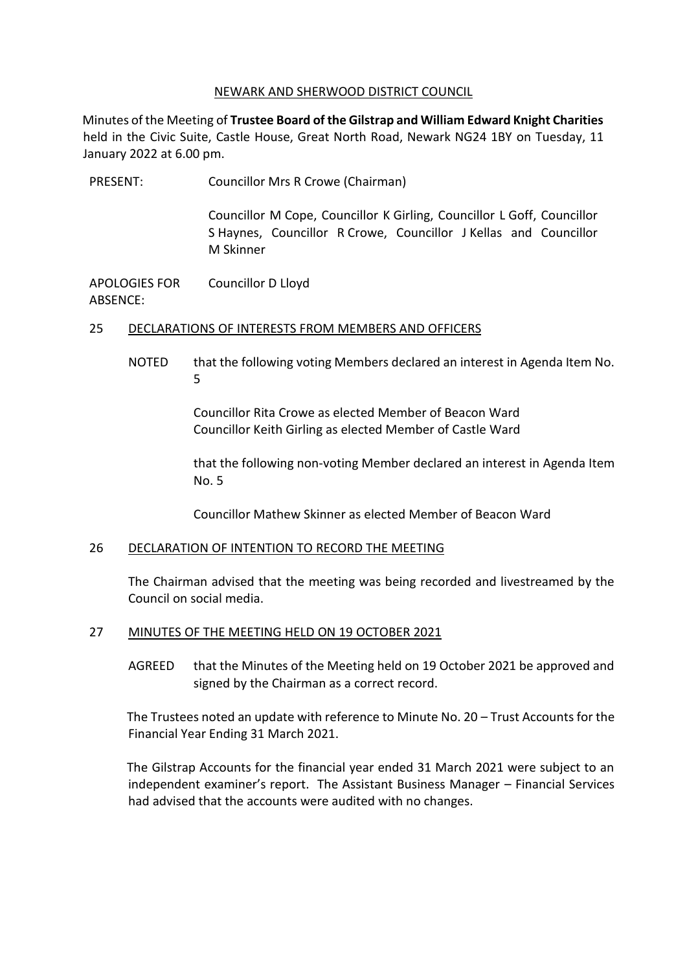### NEWARK AND SHERWOOD DISTRICT COUNCIL

Minutes of the Meeting of **Trustee Board of the Gilstrap and William Edward Knight Charities** held in the Civic Suite, Castle House, Great North Road, Newark NG24 1BY on Tuesday, 11 January 2022 at 6.00 pm.

PRESENT: Councillor Mrs R Crowe (Chairman) Councillor M Cope, Councillor K Girling, Councillor L Goff, Councillor S Haynes, Councillor R Crowe, Councillor J Kellas and Councillor M Skinner APOLOGIES FOR ABSENCE: Councillor D Lloyd

## 25 DECLARATIONS OF INTERESTS FROM MEMBERS AND OFFICERS

NOTED that the following voting Members declared an interest in Agenda Item No. 5

> Councillor Rita Crowe as elected Member of Beacon Ward Councillor Keith Girling as elected Member of Castle Ward

that the following non-voting Member declared an interest in Agenda Item No. 5

Councillor Mathew Skinner as elected Member of Beacon Ward

### 26 DECLARATION OF INTENTION TO RECORD THE MEETING

The Chairman advised that the meeting was being recorded and livestreamed by the Council on social media.

### 27 MINUTES OF THE MEETING HELD ON 19 OCTOBER 2021

AGREED that the Minutes of the Meeting held on 19 October 2021 be approved and signed by the Chairman as a correct record.

The Trustees noted an update with reference to Minute No. 20 – Trust Accounts for the Financial Year Ending 31 March 2021.

The Gilstrap Accounts for the financial year ended 31 March 2021 were subject to an independent examiner's report. The Assistant Business Manager – Financial Services had advised that the accounts were audited with no changes.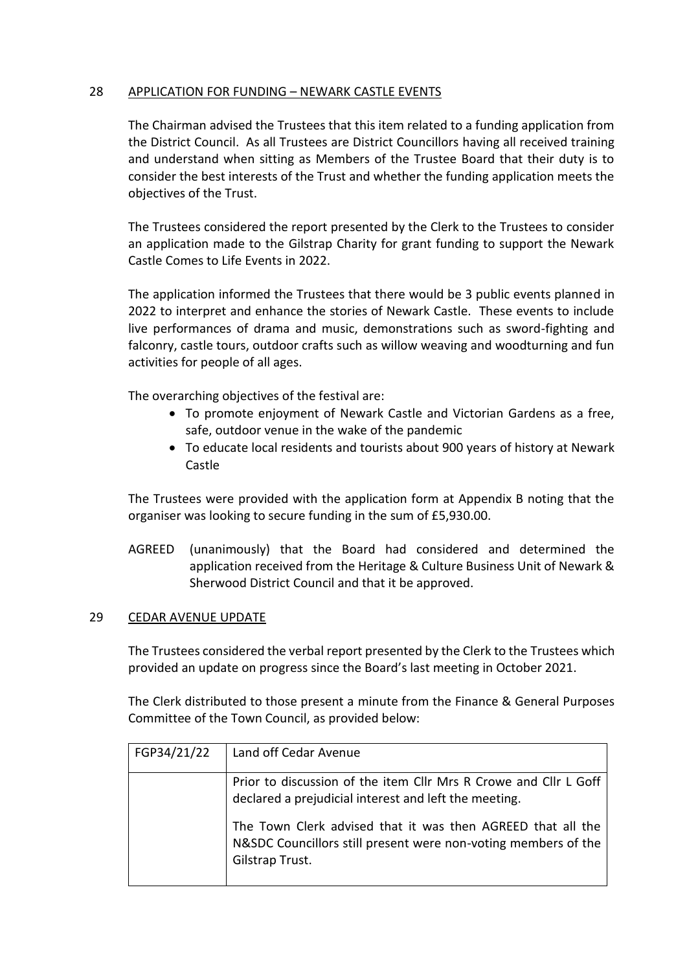# 28 APPLICATION FOR FUNDING – NEWARK CASTLE EVENTS

The Chairman advised the Trustees that this item related to a funding application from the District Council. As all Trustees are District Councillors having all received training and understand when sitting as Members of the Trustee Board that their duty is to consider the best interests of the Trust and whether the funding application meets the objectives of the Trust.

The Trustees considered the report presented by the Clerk to the Trustees to consider an application made to the Gilstrap Charity for grant funding to support the Newark Castle Comes to Life Events in 2022.

The application informed the Trustees that there would be 3 public events planned in 2022 to interpret and enhance the stories of Newark Castle. These events to include live performances of drama and music, demonstrations such as sword-fighting and falconry, castle tours, outdoor crafts such as willow weaving and woodturning and fun activities for people of all ages.

The overarching objectives of the festival are:

- To promote enjoyment of Newark Castle and Victorian Gardens as a free, safe, outdoor venue in the wake of the pandemic
- To educate local residents and tourists about 900 years of history at Newark Castle

The Trustees were provided with the application form at Appendix B noting that the organiser was looking to secure funding in the sum of £5,930.00.

AGREED (unanimously) that the Board had considered and determined the application received from the Heritage & Culture Business Unit of Newark & Sherwood District Council and that it be approved.

### 29 CEDAR AVENUE UPDATE

The Trustees considered the verbal report presented by the Clerk to the Trustees which provided an update on progress since the Board's last meeting in October 2021.

The Clerk distributed to those present a minute from the Finance & General Purposes Committee of the Town Council, as provided below:

| FGP34/21/22 | Land off Cedar Avenue                                                                                                                            |
|-------------|--------------------------------------------------------------------------------------------------------------------------------------------------|
|             | Prior to discussion of the item Cllr Mrs R Crowe and Cllr L Goff<br>declared a prejudicial interest and left the meeting.                        |
|             | The Town Clerk advised that it was then AGREED that all the<br>N&SDC Councillors still present were non-voting members of the<br>Gilstrap Trust. |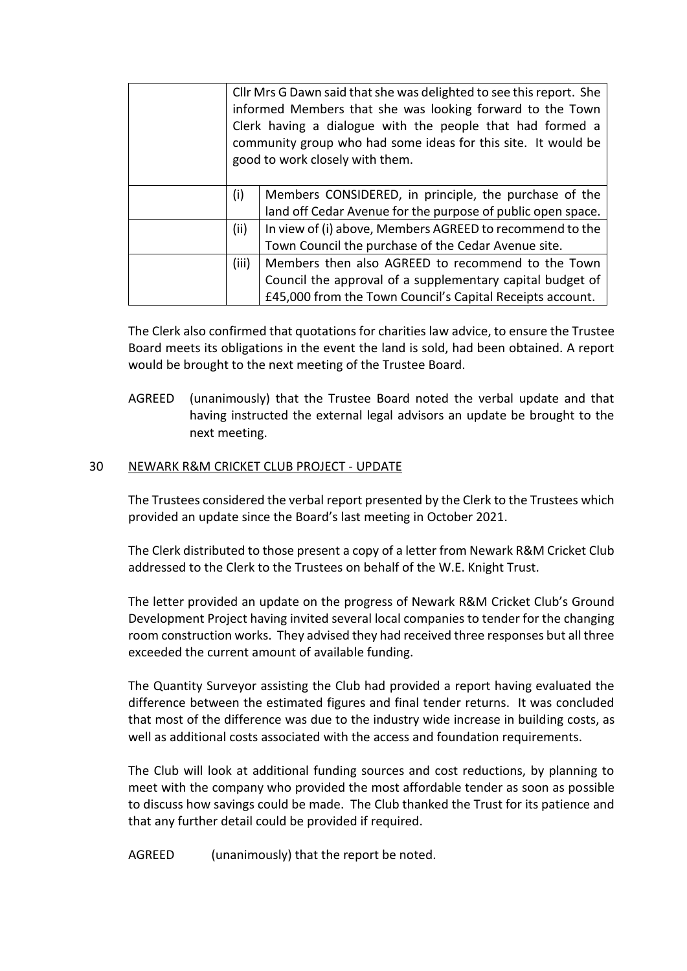|       | Cllr Mrs G Dawn said that she was delighted to see this report. She<br>informed Members that she was looking forward to the Town<br>Clerk having a dialogue with the people that had formed a<br>community group who had some ideas for this site. It would be<br>good to work closely with them. |
|-------|---------------------------------------------------------------------------------------------------------------------------------------------------------------------------------------------------------------------------------------------------------------------------------------------------|
| (i)   | Members CONSIDERED, in principle, the purchase of the                                                                                                                                                                                                                                             |
|       | land off Cedar Avenue for the purpose of public open space.                                                                                                                                                                                                                                       |
| (ii)  | In view of (i) above, Members AGREED to recommend to the                                                                                                                                                                                                                                          |
|       | Town Council the purchase of the Cedar Avenue site.                                                                                                                                                                                                                                               |
| (iii) | Members then also AGREED to recommend to the Town                                                                                                                                                                                                                                                 |
|       | Council the approval of a supplementary capital budget of                                                                                                                                                                                                                                         |
|       | £45,000 from the Town Council's Capital Receipts account.                                                                                                                                                                                                                                         |

The Clerk also confirmed that quotations for charities law advice, to ensure the Trustee Board meets its obligations in the event the land is sold, had been obtained. A report would be brought to the next meeting of the Trustee Board.

AGREED (unanimously) that the Trustee Board noted the verbal update and that having instructed the external legal advisors an update be brought to the next meeting.

### 30 NEWARK R&M CRICKET CLUB PROJECT - UPDATE

The Trustees considered the verbal report presented by the Clerk to the Trustees which provided an update since the Board's last meeting in October 2021.

The Clerk distributed to those present a copy of a letter from Newark R&M Cricket Club addressed to the Clerk to the Trustees on behalf of the W.E. Knight Trust.

The letter provided an update on the progress of Newark R&M Cricket Club's Ground Development Project having invited several local companies to tender for the changing room construction works. They advised they had received three responses but all three exceeded the current amount of available funding.

The Quantity Surveyor assisting the Club had provided a report having evaluated the difference between the estimated figures and final tender returns. It was concluded that most of the difference was due to the industry wide increase in building costs, as well as additional costs associated with the access and foundation requirements.

The Club will look at additional funding sources and cost reductions, by planning to meet with the company who provided the most affordable tender as soon as possible to discuss how savings could be made. The Club thanked the Trust for its patience and that any further detail could be provided if required.

AGREED (unanimously) that the report be noted.